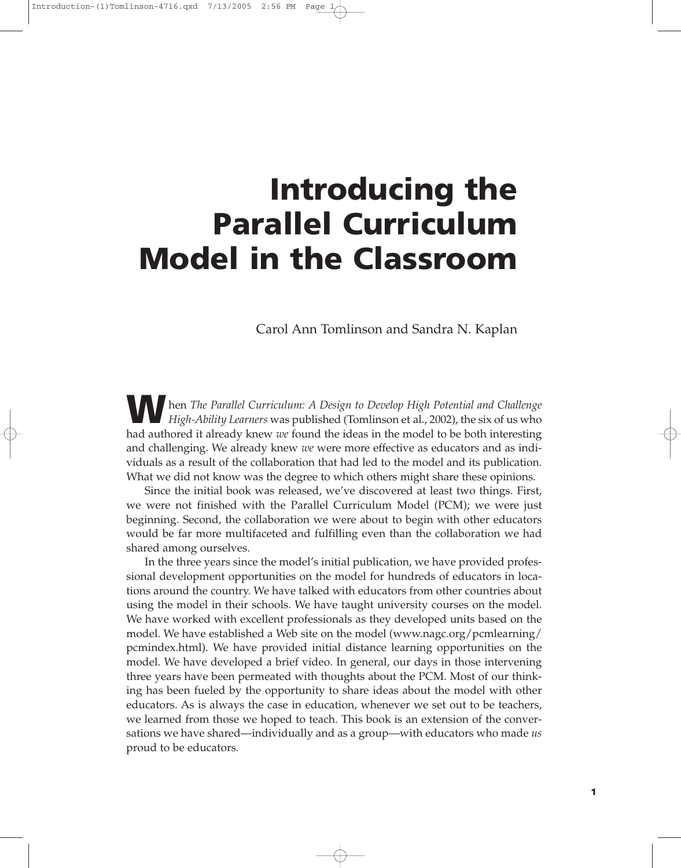# **Introducing the Parallel Curriculum Model in the Classroom**

# Carol Ann Tomlinson and Sandra N. Kaplan

**W**hen *The Parallel Curriculum: A Design to Develop High Potential and Challenge High-Ability Learners* was published (Tomlinson et al., 2002), the six of us who had authored it already knew *we* found the ideas in the model to be both interesting and challenging. We already knew *we* were more effective as educators and as individuals as a result of the collaboration that had led to the model and its publication. What we did not know was the degree to which others might share these opinions.

Since the initial book was released, we've discovered at least two things. First, we were not finished with the Parallel Curriculum Model (PCM); we were just beginning. Second, the collaboration we were about to begin with other educators would be far more multifaceted and fulfilling even than the collaboration we had shared among ourselves.

In the three years since the model's initial publication, we have provided professional development opportunities on the model for hundreds of educators in locations around the country. We have talked with educators from other countries about using the model in their schools. We have taught university courses on the model. We have worked with excellent professionals as they developed units based on the model. We have established a Web site on the model (www.nagc.org/pcmlearning/ pcmindex.html). We have provided initial distance learning opportunities on the model. We have developed a brief video. In general, our days in those intervening three years have been permeated with thoughts about the PCM. Most of our thinking has been fueled by the opportunity to share ideas about the model with other educators. As is always the case in education, whenever we set out to be teachers, we learned from those we hoped to teach. This book is an extension of the conversations we have shared—individually and as a group—with educators who made *us* proud to be educators.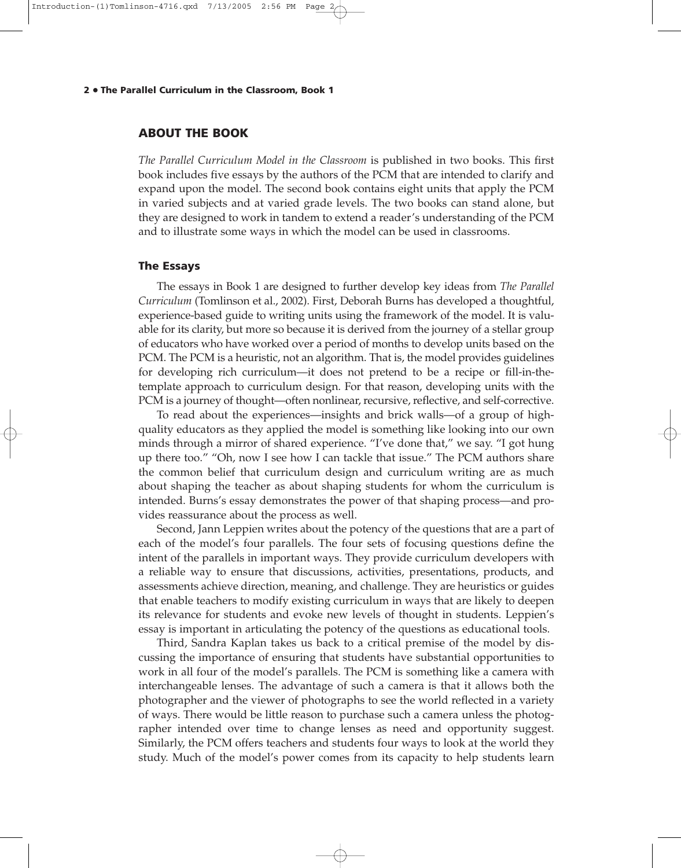#### **2 The Parallel Curriculum in the Classroom, Book 1** •

## **ABOUT THE BOOK**

*The Parallel Curriculum Model in the Classroom* is published in two books. This first book includes five essays by the authors of the PCM that are intended to clarify and expand upon the model. The second book contains eight units that apply the PCM in varied subjects and at varied grade levels. The two books can stand alone, but they are designed to work in tandem to extend a reader's understanding of the PCM and to illustrate some ways in which the model can be used in classrooms.

#### **The Essays**

The essays in Book 1 are designed to further develop key ideas from *The Parallel Curriculum* (Tomlinson et al., 2002). First, Deborah Burns has developed a thoughtful, experience-based guide to writing units using the framework of the model. It is valuable for its clarity, but more so because it is derived from the journey of a stellar group of educators who have worked over a period of months to develop units based on the PCM. The PCM is a heuristic, not an algorithm. That is, the model provides guidelines for developing rich curriculum—it does not pretend to be a recipe or fill-in-thetemplate approach to curriculum design. For that reason, developing units with the PCM is a journey of thought—often nonlinear, recursive, reflective, and self-corrective.

To read about the experiences—insights and brick walls—of a group of highquality educators as they applied the model is something like looking into our own minds through a mirror of shared experience. "I've done that," we say. "I got hung up there too." "Oh, now I see how I can tackle that issue." The PCM authors share the common belief that curriculum design and curriculum writing are as much about shaping the teacher as about shaping students for whom the curriculum is intended. Burns's essay demonstrates the power of that shaping process—and provides reassurance about the process as well.

Second, Jann Leppien writes about the potency of the questions that are a part of each of the model's four parallels. The four sets of focusing questions define the intent of the parallels in important ways. They provide curriculum developers with a reliable way to ensure that discussions, activities, presentations, products, and assessments achieve direction, meaning, and challenge. They are heuristics or guides that enable teachers to modify existing curriculum in ways that are likely to deepen its relevance for students and evoke new levels of thought in students. Leppien's essay is important in articulating the potency of the questions as educational tools.

Third, Sandra Kaplan takes us back to a critical premise of the model by discussing the importance of ensuring that students have substantial opportunities to work in all four of the model's parallels. The PCM is something like a camera with interchangeable lenses. The advantage of such a camera is that it allows both the photographer and the viewer of photographs to see the world reflected in a variety of ways. There would be little reason to purchase such a camera unless the photographer intended over time to change lenses as need and opportunity suggest. Similarly, the PCM offers teachers and students four ways to look at the world they study. Much of the model's power comes from its capacity to help students learn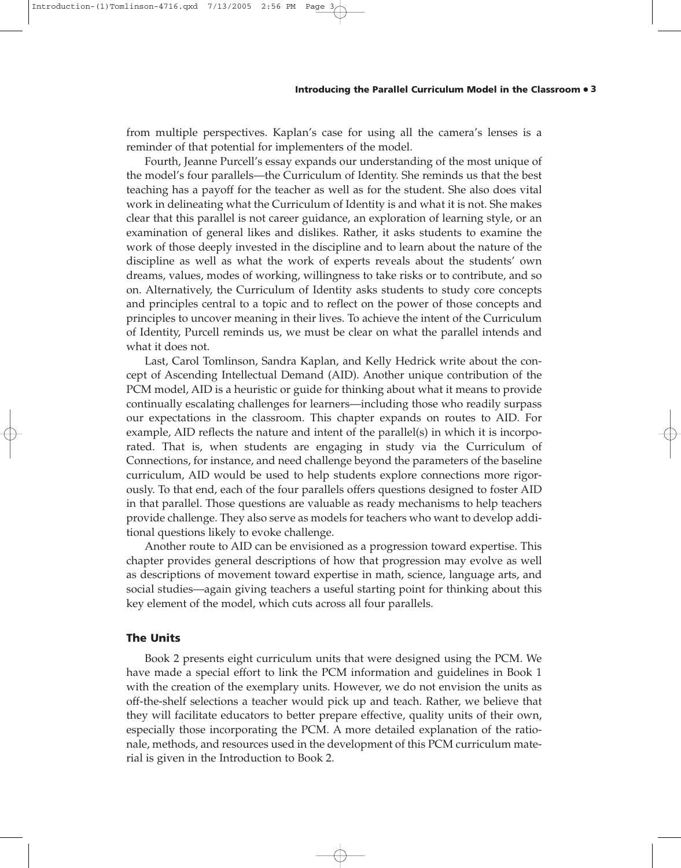#### **Introducing the Parallel Curriculum Model in the Classroom** • **3**

from multiple perspectives. Kaplan's case for using all the camera's lenses is a reminder of that potential for implementers of the model.

Fourth, Jeanne Purcell's essay expands our understanding of the most unique of the model's four parallels—the Curriculum of Identity. She reminds us that the best teaching has a payoff for the teacher as well as for the student. She also does vital work in delineating what the Curriculum of Identity is and what it is not. She makes clear that this parallel is not career guidance, an exploration of learning style, or an examination of general likes and dislikes. Rather, it asks students to examine the work of those deeply invested in the discipline and to learn about the nature of the discipline as well as what the work of experts reveals about the students' own dreams, values, modes of working, willingness to take risks or to contribute, and so on. Alternatively, the Curriculum of Identity asks students to study core concepts and principles central to a topic and to reflect on the power of those concepts and principles to uncover meaning in their lives. To achieve the intent of the Curriculum of Identity, Purcell reminds us, we must be clear on what the parallel intends and what it does not.

Last, Carol Tomlinson, Sandra Kaplan, and Kelly Hedrick write about the concept of Ascending Intellectual Demand (AID). Another unique contribution of the PCM model, AID is a heuristic or guide for thinking about what it means to provide continually escalating challenges for learners—including those who readily surpass our expectations in the classroom. This chapter expands on routes to AID. For example, AID reflects the nature and intent of the parallel(s) in which it is incorporated. That is, when students are engaging in study via the Curriculum of Connections, for instance, and need challenge beyond the parameters of the baseline curriculum, AID would be used to help students explore connections more rigorously. To that end, each of the four parallels offers questions designed to foster AID in that parallel. Those questions are valuable as ready mechanisms to help teachers provide challenge. They also serve as models for teachers who want to develop additional questions likely to evoke challenge.

Another route to AID can be envisioned as a progression toward expertise. This chapter provides general descriptions of how that progression may evolve as well as descriptions of movement toward expertise in math, science, language arts, and social studies—again giving teachers a useful starting point for thinking about this key element of the model, which cuts across all four parallels.

## **The Units**

Book 2 presents eight curriculum units that were designed using the PCM. We have made a special effort to link the PCM information and guidelines in Book 1 with the creation of the exemplary units. However, we do not envision the units as off-the-shelf selections a teacher would pick up and teach. Rather, we believe that they will facilitate educators to better prepare effective, quality units of their own, especially those incorporating the PCM. A more detailed explanation of the rationale, methods, and resources used in the development of this PCM curriculum material is given in the Introduction to Book 2.